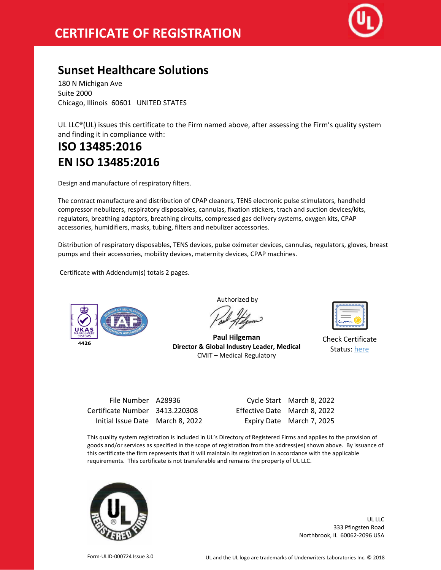

## **Sunset Healthcare Solutions**

180 N Michigan Ave Suite 2000 Chicago, Illinois 60601 UNITED STATES

UL LLC®(UL) issues this certificate to the Firm named above, after assessing the Firm's quality system and finding it in compliance with:

## **ISO 13485:2016 EN ISO 13485:2016**

Design and manufacture of respiratory filters.

The contract manufacture and distribution of CPAP cleaners, TENS electronic pulse stimulators, handheld compressor nebulizers, respiratory disposables, cannulas, fixation stickers, trach and suction devices/kits, regulators, breathing adaptors, breathing circuits, compressed gas delivery systems, oxygen kits, CPAP accessories, humidifiers, masks, tubing, filters and nebulizer accessories.

Distribution of respiratory disposables, TENS devices, pulse oximeter devices, cannulas, regulators, gloves, breast pumps and their accessories, mobility devices, maternity devices, CPAP machines.

Certificate with Addendum(s) totals 2 pages.



Authorized by

**Paul Hilgeman Director & Global Industry Leader, Medical** CMIT – Medical Regulatory

| ے |
|---|
|   |

Check Certificate Status: [here](http://database.ul.com/certs/PDWS.A28936.pdf)

| File Number A28936               |                              | Cycle Start March 8, 2022 |
|----------------------------------|------------------------------|---------------------------|
| Certificate Number 3413.220308   | Effective Date March 8, 2022 |                           |
| Initial Issue Date March 8, 2022 |                              | Expiry Date March 7, 2025 |

File Number A28936 Cycle Start March 8, 2022 22 Expiry Date March 7, 2025

This quality system registration is included in UL's Directory of Registered Firms and applies to the provision of goods and/or services as specified in the scope of registration from the address(es) shown above. By issuance of this certificate the firm represents that it will maintain its registration in accordance with the applicable requirements. This certificate is not transferable and remains the property of UL LLC.



UL LLC 333 Pfingsten Road Northbrook, IL 60062-2096 USA